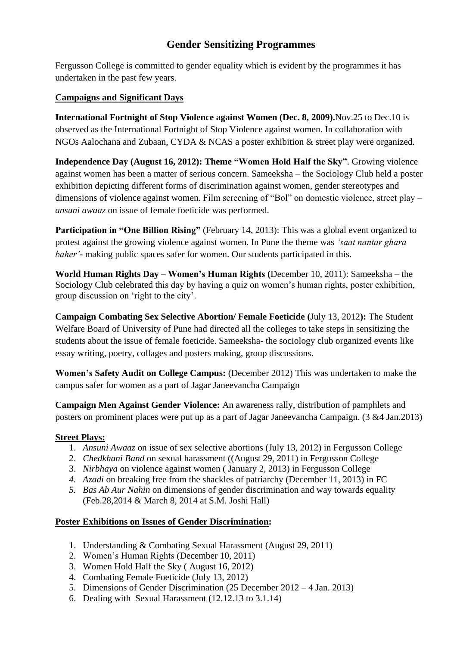## **Gender Sensitizing Programmes**

Fergusson College is committed to gender equality which is evident by the programmes it has undertaken in the past few years.

#### **Campaigns and Significant Days**

**International Fortnight of Stop Violence against Women (Dec. 8, 2009).**Nov.25 to Dec.10 is observed as the International Fortnight of Stop Violence against women. In collaboration with NGOs Aalochana and Zubaan, CYDA & NCAS a poster exhibition & street play were organized.

**Independence Day (August 16, 2012): Theme "Women Hold Half the Sky"**. Growing violence against women has been a matter of serious concern. Sameeksha – the Sociology Club held a poster exhibition depicting different forms of discrimination against women, gender stereotypes and dimensions of violence against women. Film screening of "Bol" on domestic violence, street play – *ansuni awaaz* on issue of female foeticide was performed.

**Participation in "One Billion Rising"** (February 14, 2013): This was a global event organized to protest against the growing violence against women. In Pune the theme was *'saat nantar ghara baher'-* making public spaces safer for women. Our students participated in this.

**World Human Rights Day – Women's Human Rights (**December 10, 2011): Sameeksha – the Sociology Club celebrated this day by having a quiz on women's human rights, poster exhibition, group discussion on "right to the city".

**Campaign Combating Sex Selective Abortion/ Female Foeticide (**July 13, 2012**):** The Student Welfare Board of University of Pune had directed all the colleges to take steps in sensitizing the students about the issue of female foeticide. Sameeksha- the sociology club organized events like essay writing, poetry, collages and posters making, group discussions.

**Women's Safety Audit on College Campus:** (December 2012) This was undertaken to make the campus safer for women as a part of Jagar Janeevancha Campaign

**Campaign Men Against Gender Violence:** An awareness rally, distribution of pamphlets and posters on prominent places were put up as a part of Jagar Janeevancha Campaign. (3 &4 Jan.2013)

#### **Street Plays:**

- 1. *Ansuni Awaaz* on issue of sex selective abortions (July 13, 2012) in Fergusson College
- 2. *Chedkhani Band* on sexual harassment ((August 29, 2011) in Fergusson College
- 3. *Nirbhaya* on violence against women ( January 2, 2013) in Fergusson College
- *4. Azadi* on breaking free from the shackles of patriarchy (December 11, 2013) in FC
- *5. Bas Ab Aur Nahin* on dimensions of gender discrimination and way towards equality (Feb.28,2014 & March 8, 2014 at S.M. Joshi Hall)

#### **Poster Exhibitions on Issues of Gender Discrimination:**

- 1. Understanding & Combating Sexual Harassment (August 29, 2011)
- 2. Women"s Human Rights (December 10, 2011)
- 3. Women Hold Half the Sky ( August 16, 2012)
- 4. Combating Female Foeticide (July 13, 2012)
- 5. Dimensions of Gender Discrimination (25 December 2012 4 Jan. 2013)
- 6. Dealing with Sexual Harassment (12.12.13 to 3.1.14)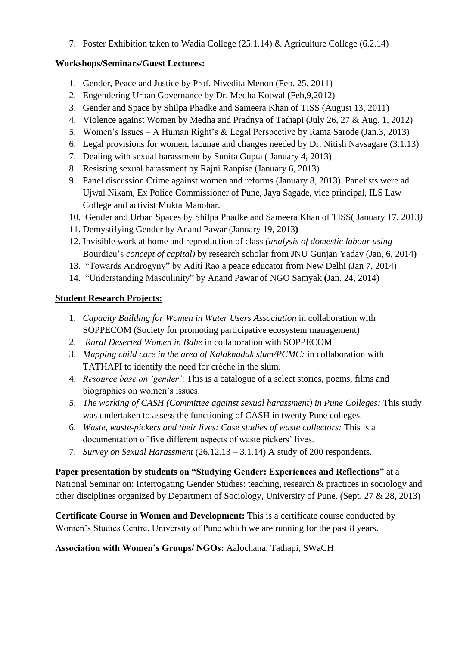7. Poster Exhibition taken to Wadia College (25.1.14) & Agriculture College (6.2.14)

#### **Workshops/Seminars/Guest Lectures:**

- 1. Gender, Peace and Justice by Prof. Nivedita Menon (Feb. 25, 2011)
- 2. Engendering Urban Governance by Dr. Medha Kotwal (Feb,9,2012)
- 3. Gender and Space by Shilpa Phadke and Sameera Khan of TISS (August 13, 2011)
- 4. Violence against Women by Medha and Pradnya of Tathapi (July 26, 27 & Aug. 1, 2012)
- 5. Women"s Issues A Human Right"s & Legal Perspective by Rama Sarode (Jan.3, 2013)
- 6. Legal provisions for women, lacunae and changes needed by Dr. Nitish Navsagare (3.1.13)
- 7. Dealing with sexual harassment by Sunita Gupta ( January 4, 2013)
- 8. Resisting sexual harassment by Rajni Ranpise (January 6, 2013)
- 9. Panel discussion Crime against women and reforms (January 8, 2013). Panelists were ad. Ujwal Nikam, Ex Police Commissioner of Pune, Jaya Sagade, vice principal, ILS Law College and activist Mukta Manohar.
- 10. Gender and Urban Spaces by Shilpa Phadke and Sameera Khan of TISS( January 17, 2013*)*
- 11. Demystifying Gender by Anand Pawar (January 19, 2013**)**
- 12. Invisible work at home and reproduction of clas*s (analysis of domestic labour using*  Bourdieu"s *concept of capital)* by research scholar from JNU Gunjan Yadav (Jan, 6, 2014**)**
- 13. "Towards Androgyny" by Aditi Rao a peace educator from New Delhi (Jan 7, 2014)
- 14. "Understanding Masculinity" by Anand Pawar of NGO Samyak **(**Jan. 24, 2014)

### **Student Research Projects:**

- 1. *Capacity Building for Women in Water Users Association* in collaboration with SOPPECOM (Society for promoting participative ecosystem management)
- 2. *Rural Deserted Women in Bahe* in collaboration with SOPPECOM
- 3. *Mapping child care in the area of Kalakhadak slum/PCMC:* in collaboration with TATHAPI to identify the need for crèche in the slum.
- 4. *Resource base on 'gender'*: This is a catalogue of a select stories, poems, films and biographies on women's issues.
- 5. *The working of CASH (Committee against sexual harassment) in Pune Colleges:* This study was undertaken to assess the functioning of CASH in twenty Pune colleges.
- 6. *Waste, waste-pickers and their lives: Case studies of waste collectors:* This is a documentation of five different aspects of waste pickers' lives.
- 7. *Survey on Sexual Harassment* (26.12.13 3.1.14) A study of 200 respondents.

**Paper presentation by students on "Studying Gender: Experiences and Reflections"** at a National Seminar on: Interrogating Gender Studies: teaching, research & practices in sociology and other disciplines organized by Department of Sociology, University of Pune. (Sept. 27 & 28, 2013)

**Certificate Course in Women and Development:** This is a certificate course conducted by Women"s Studies Centre, University of Pune which we are running for the past 8 years.

**Association with Women's Groups/ NGOs:** Aalochana, Tathapi, SWaCH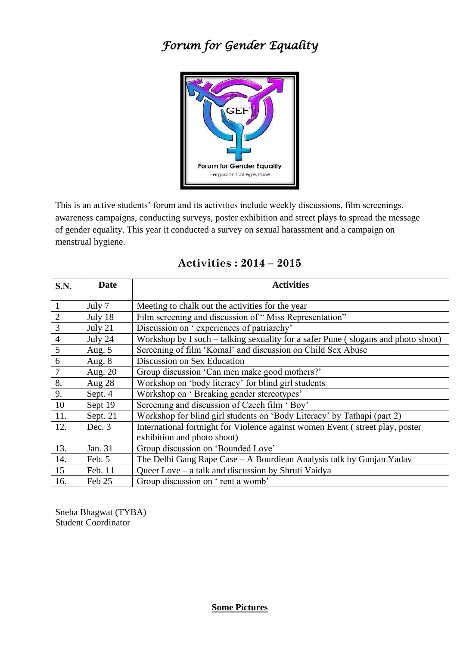# *Forum for Gender Equality*



This is an active students" forum and its activities include weekly discussions, film screenings, awareness campaigns, conducting surveys, poster exhibition and street plays to spread the message of gender equality. This year it conducted a survey on sexual harassment and a campaign on menstrual hygiene.

| S.N.           | <b>Date</b> | <b>Activities</b>                                                                 |
|----------------|-------------|-----------------------------------------------------------------------------------|
|                |             |                                                                                   |
| $\mathbf{1}$   | July 7      | Meeting to chalk out the activities for the year                                  |
| $\overline{2}$ | July 18     | Film screening and discussion of "Miss Representation"                            |
| 3              | July 21     | Discussion on 'experiences of patriarchy'                                         |
| $\overline{4}$ | July 24     | Workshop by I soch – talking sexuality for a safer Pune (slogans and photo shoot) |
| 5              | Aug. $5$    | Screening of film 'Komal' and discussion on Child Sex Abuse                       |
| 6              | Aug. 8      | Discussion on Sex Education                                                       |
| 7              | Aug. 20     | Group discussion 'Can men make good mothers?'                                     |
| 8.             | Aug 28      | Workshop on 'body literacy' for blind girl students                               |
| 9.             | Sept. 4     | Workshop on 'Breaking gender stereotypes'                                         |
| 10             | Sept 19     | Screening and discussion of Czech film 'Boy'                                      |
| 11.            | Sept. 21    | Workshop for blind girl students on 'Body Literacy' by Tathapi (part 2)           |
| 12.            | Dec. 3      | International fortnight for Violence against women Event (street play, poster     |
|                |             | exhibition and photo shoot)                                                       |
| 13.            | Jan. 31     | Group discussion on 'Bounded Love'                                                |
| 14.            | Feb. 5      | The Delhi Gang Rape Case - A Bourdiean Analysis talk by Gunjan Yadav              |
| 15             | Feb. 11     | Queer Love – a talk and discussion by Shruti Vaidya                               |
| 16.            | Feb 25      | Group discussion on 'rent a womb'                                                 |

## **Activities : 2014 – 2015**

Sneha Bhagwat (TYBA) Student Coordinator